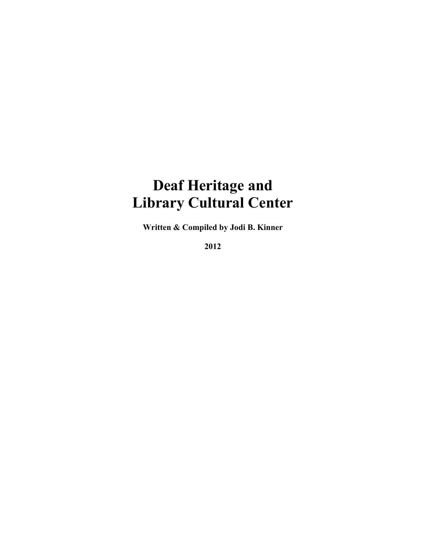## **Deaf Heritage and Library Cultural Center**

**Written & Compiled by Jodi B. Kinner**

**2012**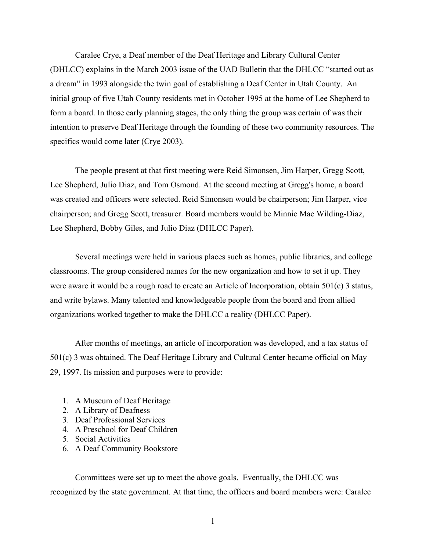Caralee Crye, a Deaf member of the Deaf Heritage and Library Cultural Center (DHLCC) explains in the March 2003 issue of the UAD Bulletin that the DHLCC "started out as a dream" in 1993 alongside the twin goal of establishing a Deaf Center in Utah County. An initial group of five Utah County residents met in October 1995 at the home of Lee Shepherd to form a board. In those early planning stages, the only thing the group was certain of was their intention to preserve Deaf Heritage through the founding of these two community resources. The specifics would come later (Crye 2003).

The people present at that first meeting were Reid Simonsen, Jim Harper, Gregg Scott, Lee Shepherd, Julio Diaz, and Tom Osmond. At the second meeting at Gregg's home, a board was created and officers were selected. Reid Simonsen would be chairperson; Jim Harper, vice chairperson; and Gregg Scott, treasurer. Board members would be Minnie Mae Wilding-Diaz, Lee Shepherd, Bobby Giles, and Julio Diaz (DHLCC Paper).

Several meetings were held in various places such as homes, public libraries, and college classrooms. The group considered names for the new organization and how to set it up. They were aware it would be a rough road to create an Article of Incorporation, obtain 501(c) 3 status, and write bylaws. Many talented and knowledgeable people from the board and from allied organizations worked together to make the DHLCC a reality (DHLCC Paper).

After months of meetings, an article of incorporation was developed, and a tax status of 501(c) 3 was obtained. The Deaf Heritage Library and Cultural Center became official on May 29, 1997. Its mission and purposes were to provide:

- 1. A Museum of Deaf Heritage
- 2. A Library of Deafness
- 3. Deaf Professional Services
- 4. A Preschool for Deaf Children
- 5. Social Activities
- 6. A Deaf Community Bookstore

Committees were set up to meet the above goals. Eventually, the DHLCC was recognized by the state government. At that time, the officers and board members were: Caralee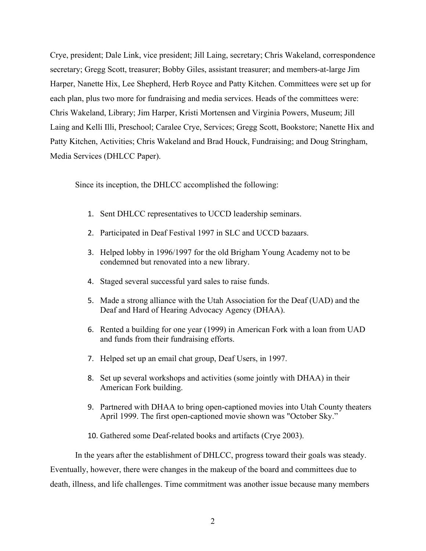Crye, president; Dale Link, vice president; Jill Laing, secretary; Chris Wakeland, correspondence secretary; Gregg Scott, treasurer; Bobby Giles, assistant treasurer; and members-at-large Jim Harper, Nanette Hix, Lee Shepherd, Herb Royce and Patty Kitchen. Committees were set up for each plan, plus two more for fundraising and media services. Heads of the committees were: Chris Wakeland, Library; Jim Harper, Kristi Mortensen and Virginia Powers, Museum; Jill Laing and Kelli Illi, Preschool; Caralee Crye, Services; Gregg Scott, Bookstore; Nanette Hix and Patty Kitchen, Activities; Chris Wakeland and Brad Houck, Fundraising; and Doug Stringham, Media Services (DHLCC Paper).

Since its inception, the DHLCC accomplished the following:

- 1. Sent DHLCC representatives to UCCD leadership seminars.
- 2. Participated in Deaf Festival 1997 in SLC and UCCD bazaars.
- 3. Helped lobby in 1996/1997 for the old Brigham Young Academy not to be condemned but renovated into a new library.
- 4. Staged several successful yard sales to raise funds.
- 5. Made a strong alliance with the Utah Association for the Deaf (UAD) and the Deaf and Hard of Hearing Advocacy Agency (DHAA).
- 6. Rented a building for one year (1999) in American Fork with a loan from UAD and funds from their fundraising efforts.
- 7. Helped set up an email chat group, Deaf Users, in 1997.
- 8. Set up several workshops and activities (some jointly with DHAA) in their American Fork building.
- 9. Partnered with DHAA to bring open-captioned movies into Utah County theaters April 1999. The first open-captioned movie shown was "October Sky."
- 10. Gathered some Deaf-related books and artifacts (Crye 2003).

In the years after the establishment of DHLCC, progress toward their goals was steady. Eventually, however, there were changes in the makeup of the board and committees due to death, illness, and life challenges. Time commitment was another issue because many members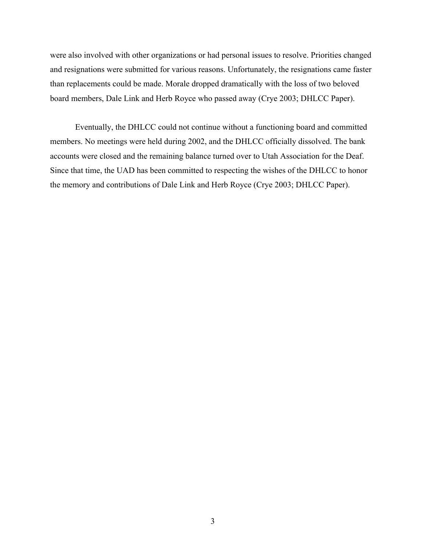were also involved with other organizations or had personal issues to resolve. Priorities changed and resignations were submitted for various reasons. Unfortunately, the resignations came faster than replacements could be made. Morale dropped dramatically with the loss of two beloved board members, Dale Link and Herb Royce who passed away (Crye 2003; DHLCC Paper).

Eventually, the DHLCC could not continue without a functioning board and committed members. No meetings were held during 2002, and the DHLCC officially dissolved. The bank accounts were closed and the remaining balance turned over to Utah Association for the Deaf. Since that time, the UAD has been committed to respecting the wishes of the DHLCC to honor the memory and contributions of Dale Link and Herb Royce (Crye 2003; DHLCC Paper).